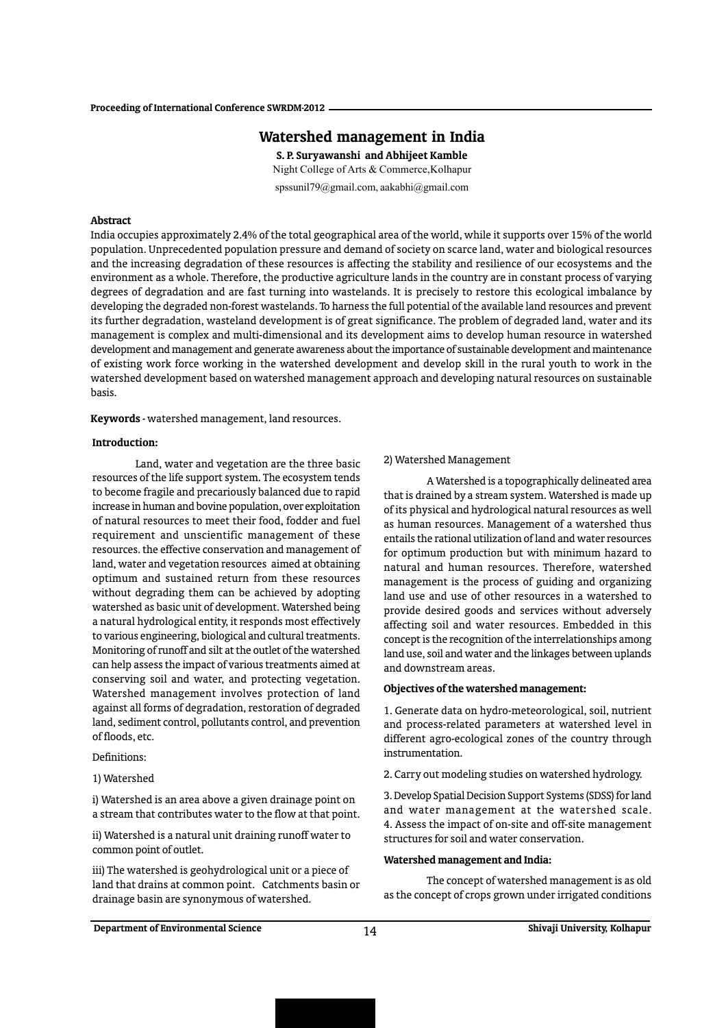# Watershed management in India

S. P. Suryawanshi and Abhijeet Kamble Night College of Arts & Commerce,Kolhapur

spssunil79@gmail.com, aakabhi@gmail.com

# Abstract

India occupies approximately 2.4% of the total geographical area of the world, while it supports over 15% of the world population. Unprecedented population pressure and demand of society on scarce land, water and biological resources and the increasing degradation of these resources is affecting the stability and resilience of our ecosystems and the environment as a whole. Therefore, the productive agriculture lands in the country are in constant process of varying degrees of degradation and are fast turning into wastelands. It is precisely to restore this ecological imbalance by developing the degraded non-forest wastelands. To harness the full potential of the available land resources and prevent its further degradation, wasteland development is of great significance. The problem of degraded land, water and its management is complex and multi-dimensional and its development aims to develop human resource in watershed development and management and generate awareness about the importance of sustainable development and maintenance of existing work force working in the watershed development and develop skill in the rural youth to work in the watershed development based on watershed management approach and developing natural resources on sustainable basis.

Keywords - watershed management, land resources.

### Introduction:

Land, water and vegetation are the three basic resources of the life support system. The ecosystem tends to become fragile and precariously balanced due to rapid increase in human and bovine population, over exploitation of natural resources to meet their food, fodder and fuel requirement and unscientific management of these resources. the effective conservation and management of land, water and vegetation resources aimed at obtaining optimum and sustained return from these resources without degrading them can be achieved by adopting watershed as basic unit of development. Watershed being a natural hydrological entity, it responds most effectively to various engineering, biological and cultural treatments. Monitoring of runoff and silt at the outlet of the watershed can help assess the impact of various treatments aimed at conserving soil and water, and protecting vegetation. Watershed management involves protection of land against all forms of degradation, restoration of degraded land, sediment control, pollutants control, and prevention of floods, etc.

# Definitions:

1) Watershed

i) Watershed is an area above a given drainage point on a stream that contributes water to the flow at that point.

ii) Watershed is a natural unit draining runoff water to common point of outlet.

iii) The watershed is geohydrological unit or a piece of land that drains at common point. Catchments basin or drainage basin are synonymous of watershed.

## 2) Watershed Management

A Watershed is a topographically delineated area that is drained by a stream system. Watershed is made up of its physical and hydrological natural resources as well as human resources. Management of a watershed thus entails the rational utilization of land and water resources for optimum production but with minimum hazard to natural and human resources. Therefore, watershed management is the process of guiding and organizing land use and use of other resources in a watershed to provide desired goods and services without adversely affecting soil and water resources. Embedded in this concept is the recognition of the interrelationships among land use, soil and water and the linkages between uplands and downstream areas.

### Objectives of the watershed management:

1. Generate data on hydro-meteorological, soil, nutrient and process-related parameters at watershed level in different agro-ecological zones of the country through instrumentation.

2. Carry out modeling studies on watershed hydrology.

3. Develop Spatial Decision Support Systems (SDSS) for land and water management at the watershed scale. 4. Assess the impact of on-site and off-site management structures for soil and water conservation.

# Watershed management and India:

The concept of watershed management is as old as the concept of crops grown under irrigated conditions

Department of Environmental Science  $14$  Shivaji University, Kolhapur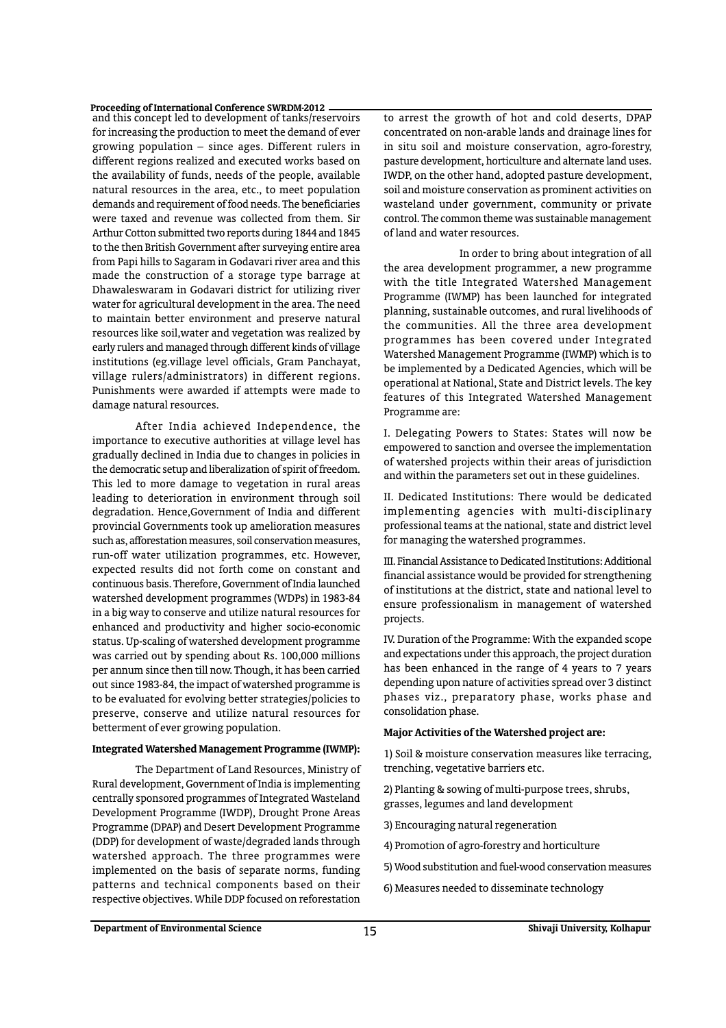#### Proceeding of International Conference SWRDM-2012

and this concept led to development of tanks/reservoirs for increasing the production to meet the demand of ever growing population – since ages. Different rulers in different regions realized and executed works based on the availability of funds, needs of the people, available natural resources in the area, etc., to meet population demands and requirement of food needs. The beneficiaries were taxed and revenue was collected from them. Sir Arthur Cotton submitted two reports during 1844 and 1845 to the then British Government after surveying entire area from Papi hills to Sagaram in Godavari river area and this made the construction of a storage type barrage at Dhawaleswaram in Godavari district for utilizing river water for agricultural development in the area. The need to maintain better environment and preserve natural resources like soil,water and vegetation was realized by early rulers and managed through different kinds of village institutions (eg.village level officials, Gram Panchayat, village rulers/administrators) in different regions. Punishments were awarded if attempts were made to damage natural resources.

After India achieved Independence, the importance to executive authorities at village level has gradually declined in India due to changes in policies in the democratic setup and liberalization of spirit of freedom. This led to more damage to vegetation in rural areas leading to deterioration in environment through soil degradation. Hence,Government of India and different provincial Governments took up amelioration measures such as, afforestation measures, soil conservation measures, run-off water utilization programmes, etc. However, expected results did not forth come on constant and continuous basis. Therefore, Government of India launched watershed development programmes (WDPs) in 1983-84 in a big way to conserve and utilize natural resources for enhanced and productivity and higher socio-economic status. Up-scaling of watershed development programme was carried out by spending about Rs. 100,000 millions per annum since then till now. Though, it has been carried out since 1983-84, the impact of watershed programme is to be evaluated for evolving better strategies/policies to preserve, conserve and utilize natural resources for betterment of ever growing population.

#### Integrated Watershed Management Programme (IWMP):

The Department of Land Resources, Ministry of Rural development, Government of India is implementing centrally sponsored programmes of Integrated Wasteland Development Programme (IWDP), Drought Prone Areas Programme (DPAP) and Desert Development Programme (DDP) for development of waste/degraded lands through watershed approach. The three programmes were implemented on the basis of separate norms, funding patterns and technical components based on their respective objectives. While DDP focused on reforestation

to arrest the growth of hot and cold deserts, DPAP concentrated on non-arable lands and drainage lines for in situ soil and moisture conservation, agro-forestry, pasture development, horticulture and alternate land uses. IWDP, on the other hand, adopted pasture development, soil and moisture conservation as prominent activities on wasteland under government, community or private control. The common theme was sustainable management of land and water resources.

 In order to bring about integration of all the area development programmer, a new programme with the title Integrated Watershed Management Programme (IWMP) has been launched for integrated planning, sustainable outcomes, and rural livelihoods of the communities. All the three area development programmes has been covered under Integrated Watershed Management Programme (IWMP) which is to be implemented by a Dedicated Agencies, which will be operational at National, State and District levels. The key features of this Integrated Watershed Management Programme are:

I. Delegating Powers to States: States will now be empowered to sanction and oversee the implementation of watershed projects within their areas of jurisdiction and within the parameters set out in these guidelines.

II. Dedicated Institutions: There would be dedicated implementing agencies with multi-disciplinary professional teams at the national, state and district level for managing the watershed programmes.

III. Financial Assistance to Dedicated Institutions: Additional financial assistance would be provided for strengthening of institutions at the district, state and national level to ensure professionalism in management of watershed projects.

IV. Duration of the Programme: With the expanded scope and expectations under this approach, the project duration has been enhanced in the range of 4 years to 7 years depending upon nature of activities spread over 3 distinct phases viz., preparatory phase, works phase and consolidation phase.

### Major Activities of the Watershed project are:

1) Soil & moisture conservation measures like terracing, trenching, vegetative barriers etc.

- 2) Planting & sowing of multi-purpose trees, shrubs, grasses, legumes and land development
- 3) Encouraging natural regeneration
- 4) Promotion of agro-forestry and horticulture
- 5) Wood substitution and fuel-wood conservation measures
- 6) Measures needed to disseminate technology